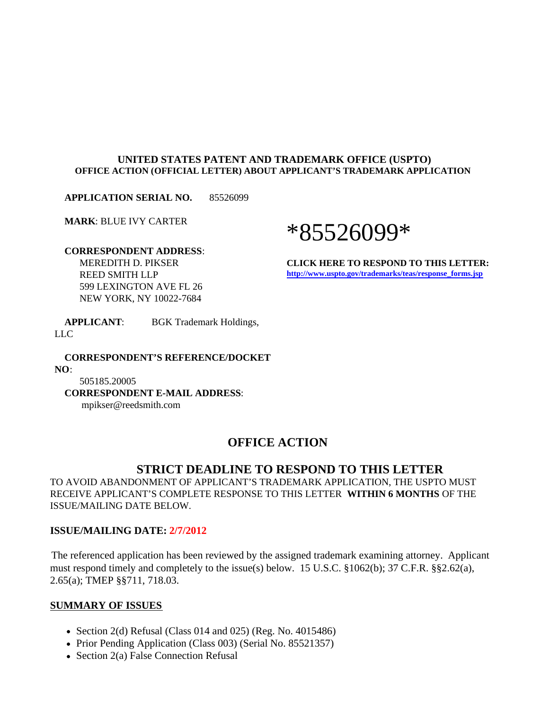#### **UNITED STATES PATENT AND TRADEMARK OFFICE (USPTO) OFFICE ACTION (OFFICIAL LETTER) ABOUT APPLICANT'S TRADEMARK APPLICATION**

**APPLICATION SERIAL NO.** 85526099

**MARK**: BLUE IVY CARTER

# \*85526099\*

 **CORRESPONDENT ADDRESS**: MEREDITH D. PIKSER REED SMITH LLP 599 LEXINGTON AVE FL 26 NEW YORK, NY 10022-7684

**CLICK HERE TO RESPOND TO THIS LETTER: http://www.uspto.gov/trademarks/teas/response\_forms.jsp**

 **APPLICANT**: BGK Trademark Holdings, LLC

 **CORRESPONDENT'S REFERENCE/DOCKET NO**: 505185.20005 **CORRESPONDENT E-MAIL ADDRESS**:

mpikser@reedsmith.com

## **OFFICE ACTION**

## **STRICT DEADLINE TO RESPOND TO THIS LETTER**

TO AVOID ABANDONMENT OF APPLICANT'S TRADEMARK APPLICATION, THE USPTO MUST RECEIVE APPLICANT'S COMPLETE RESPONSE TO THIS LETTER **WITHIN 6 MONTHS** OF THE ISSUE/MAILING DATE BELOW.

#### **ISSUE/MAILING DATE: 2/7/2012**

The referenced application has been reviewed by the assigned trademark examining attorney. Applicant must respond timely and completely to the issue(s) below. 15 U.S.C. §1062(b); 37 C.F.R. §§2.62(a), 2.65(a); TMEP §§711, 718.03.

#### **SUMMARY OF ISSUES**

- Section 2(d) Refusal (Class 014 and 025) (Reg. No. 4015486)
- Prior Pending Application (Class 003) (Serial No. 85521357)
- Section 2(a) False Connection Refusal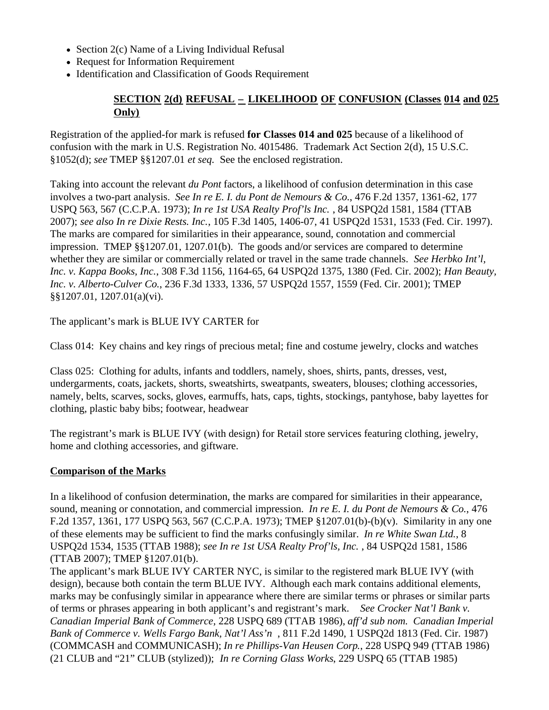- Section  $2(c)$  Name of a Living Individual Refusal
- Request for Information Requirement
- Identification and Classification of Goods Requirement

## **SECTION 2(d) REFUSAL – LIKELIHOOD OF CONFUSION (Classes 014 and 025 Only)**

Registration of the applied-for mark is refused **for Classes 014 and 025** because of a likelihood of confusion with the mark in U.S. Registration No. 4015486. Trademark Act Section 2(d), 15 U.S.C. §1052(d); *see* TMEP §§1207.01 *et seq.* See the enclosed registration.

Taking into account the relevant *du Pont* factors, a likelihood of confusion determination in this case involves a two-part analysis. *See In re E. I. du Pont de Nemours & Co.*, 476 F.2d 1357, 1361-62, 177 USPQ 563, 567 (C.C.P.A. 1973); *In re 1st USA Realty Prof'ls Inc.* , 84 USPQ2d 1581, 1584 (TTAB 2007); *see also In re Dixie Rests. Inc.*, 105 F.3d 1405, 1406-07, 41 USPQ2d 1531, 1533 (Fed. Cir. 1997). The marks are compared for similarities in their appearance, sound, connotation and commercial impression. TMEP §§1207.01, 1207.01(b). The goods and/or services are compared to determine whether they are similar or commercially related or travel in the same trade channels. *See Herbko Int'l, Inc. v. Kappa Books, Inc.*, 308 F.3d 1156, 1164-65, 64 USPQ2d 1375, 1380 (Fed. Cir. 2002); *Han Beauty, Inc. v. Alberto-Culver Co.*, 236 F.3d 1333, 1336, 57 USPQ2d 1557, 1559 (Fed. Cir. 2001); TMEP §§1207.01, 1207.01(a)(vi).

The applicant's mark is BLUE IVY CARTER for

Class 014: Key chains and key rings of precious metal; fine and costume jewelry, clocks and watches

Class 025: Clothing for adults, infants and toddlers, namely, shoes, shirts, pants, dresses, vest, undergarments, coats, jackets, shorts, sweatshirts, sweatpants, sweaters, blouses; clothing accessories, namely, belts, scarves, socks, gloves, earmuffs, hats, caps, tights, stockings, pantyhose, baby layettes for clothing, plastic baby bibs; footwear, headwear

The registrant's mark is BLUE IVY (with design) for Retail store services featuring clothing, jewelry, home and clothing accessories, and giftware.

## **Comparison of the Marks**

In a likelihood of confusion determination, the marks are compared for similarities in their appearance, sound, meaning or connotation, and commercial impression. *In re E. I. du Pont de Nemours & Co.*, 476 F.2d 1357, 1361, 177 USPQ 563, 567 (C.C.P.A. 1973); TMEP §1207.01(b)-(b)(v). Similarity in any one of these elements may be sufficient to find the marks confusingly similar. *In re White Swan Ltd.*, 8 USPQ2d 1534, 1535 (TTAB 1988); *see In re 1st USA Realty Prof'ls, Inc.* , 84 USPQ2d 1581, 1586 (TTAB 2007); TMEP §1207.01(b).

The applicant's mark BLUE IVY CARTER NYC, is similar to the registered mark BLUE IVY (with design), because both contain the term BLUE IVY. Although each mark contains additional elements, marks may be confusingly similar in appearance where there are similar terms or phrases or similar parts of terms or phrases appearing in both applicant's and registrant's mark. *See Crocker Nat'l Bank v. Canadian Imperial Bank of Commerce*, 228 USPQ 689 (TTAB 1986), *aff'd sub nom. Canadian Imperial Bank of Commerce v. Wells Fargo Bank, Nat'l Ass'n* , 811 F.2d 1490, 1 USPQ2d 1813 (Fed. Cir. 1987) (COMMCASH and COMMUNICASH); *In re Phillips-Van Heusen Corp.*, 228 USPQ 949 (TTAB 1986) (21 CLUB and "21" CLUB (stylized)); *In re Corning Glass Works*, 229 USPQ 65 (TTAB 1985)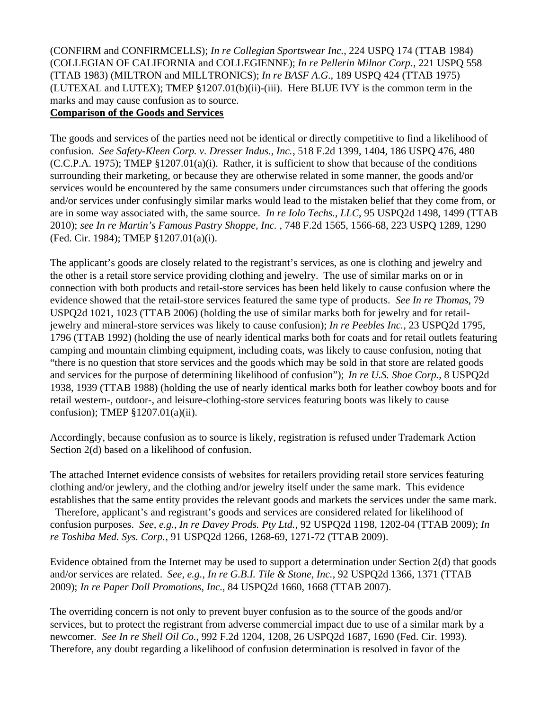(CONFIRM and CONFIRMCELLS); *In re Collegian Sportswear Inc.*, 224 USPQ 174 (TTAB 1984) (COLLEGIAN OF CALIFORNIA and COLLEGIENNE); *In re Pellerin Milnor Corp.*, 221 USPQ 558 (TTAB 1983) (MILTRON and MILLTRONICS); *In re BASF A.G.*, 189 USPQ 424 (TTAB 1975) (LUTEXAL and LUTEX); TMEP §1207.01(b)(ii)-(iii). Here BLUE IVY is the common term in the marks and may cause confusion as to source.

#### **Comparison of the Goods and Services**

The goods and services of the parties need not be identical or directly competitive to find a likelihood of confusion. *See Safety-Kleen Corp. v. Dresser Indus., Inc.*, 518 F.2d 1399, 1404, 186 USPQ 476, 480 (C.C.P.A. 1975); TMEP §1207.01(a)(i). Rather, it is sufficient to show that because of the conditions surrounding their marketing, or because they are otherwise related in some manner, the goods and/or services would be encountered by the same consumers under circumstances such that offering the goods and/or services under confusingly similar marks would lead to the mistaken belief that they come from, or are in some way associated with, the same source. *In re Iolo Techs., LLC*, 95 USPQ2d 1498, 1499 (TTAB 2010); *see In re Martin's Famous Pastry Shoppe, Inc.* , 748 F.2d 1565, 1566-68, 223 USPQ 1289, 1290 (Fed. Cir. 1984); TMEP §1207.01(a)(i).

The applicant's goods are closely related to the registrant's services, as one is clothing and jewelry and the other is a retail store service providing clothing and jewelry. The use of similar marks on or in connection with both products and retail-store services has been held likely to cause confusion where the evidence showed that the retail-store services featured the same type of products. *See In re Thomas*, 79 USPQ2d 1021, 1023 (TTAB 2006) (holding the use of similar marks both for jewelry and for retailjewelry and mineral-store services was likely to cause confusion); *In re Peebles Inc.*, 23 USPQ2d 1795, 1796 (TTAB 1992) (holding the use of nearly identical marks both for coats and for retail outlets featuring camping and mountain climbing equipment, including coats, was likely to cause confusion, noting that "there is no question that store services and the goods which may be sold in that store are related goods and services for the purpose of determining likelihood of confusion"); *In re U.S. Shoe Corp.*, 8 USPQ2d 1938, 1939 (TTAB 1988) (holding the use of nearly identical marks both for leather cowboy boots and for retail western-, outdoor-, and leisure-clothing-store services featuring boots was likely to cause confusion); TMEP §1207.01(a)(ii).

Accordingly, because confusion as to source is likely, registration is refused under Trademark Action Section 2(d) based on a likelihood of confusion.

The attached Internet evidence consists of websites for retailers providing retail store services featuring clothing and/or jewlery, and the clothing and/or jewelry itself under the same mark. This evidence establishes that the same entity provides the relevant goods and markets the services under the same mark.

 Therefore, applicant's and registrant's goods and services are considered related for likelihood of confusion purposes. *See, e.g., In re Davey Prods. Pty Ltd.*, 92 USPQ2d 1198, 1202-04 (TTAB 2009); *In re Toshiba Med. Sys. Corp.*, 91 USPQ2d 1266, 1268-69, 1271-72 (TTAB 2009).

Evidence obtained from the Internet may be used to support a determination under Section 2(d) that goods and/or services are related. *See, e.g., In re G.B.I. Tile & Stone, Inc.*, 92 USPQ2d 1366, 1371 (TTAB 2009); *In re Paper Doll Promotions, Inc.*, 84 USPQ2d 1660, 1668 (TTAB 2007).

The overriding concern is not only to prevent buyer confusion as to the source of the goods and/or services, but to protect the registrant from adverse commercial impact due to use of a similar mark by a newcomer. *See In re Shell Oil Co.*, 992 F.2d 1204, 1208, 26 USPQ2d 1687, 1690 (Fed. Cir. 1993). Therefore, any doubt regarding a likelihood of confusion determination is resolved in favor of the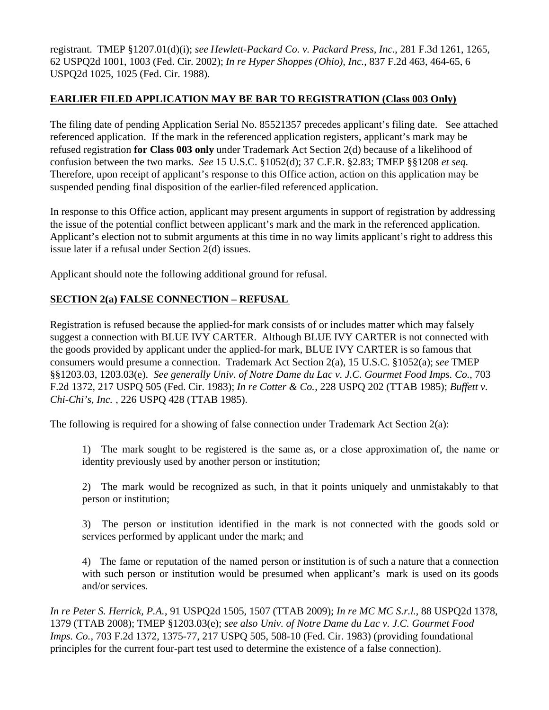registrant. TMEP §1207.01(d)(i); *see Hewlett-Packard Co. v. Packard Press, Inc.*, 281 F.3d 1261, 1265, 62 USPQ2d 1001, 1003 (Fed. Cir. 2002); *In re Hyper Shoppes (Ohio), Inc.*, 837 F.2d 463, 464-65, 6 USPQ2d 1025, 1025 (Fed. Cir. 1988).

## **EARLIER FILED APPLICATION MAY BE BAR TO REGISTRATION (Class 003 Only)**

The filing date of pending Application Serial No. 85521357 precedes applicant's filing date. See attached referenced application. If the mark in the referenced application registers, applicant's mark may be refused registration **for Class 003 only** under Trademark Act Section 2(d) because of a likelihood of confusion between the two marks. *See* 15 U.S.C. §1052(d); 37 C.F.R. §2.83; TMEP §§1208 *et seq.* Therefore, upon receipt of applicant's response to this Office action, action on this application may be suspended pending final disposition of the earlier-filed referenced application.

In response to this Office action, applicant may present arguments in support of registration by addressing the issue of the potential conflict between applicant's mark and the mark in the referenced application. Applicant's election not to submit arguments at this time in no way limits applicant's right to address this issue later if a refusal under Section 2(d) issues.

Applicant should note the following additional ground for refusal.

## **SECTION 2(a) FALSE CONNECTION – REFUSAL**

Registration is refused because the applied-for mark consists of or includes matter which may falsely suggest a connection with BLUE IVY CARTER. Although BLUE IVY CARTER is not connected with the goods provided by applicant under the applied-for mark, BLUE IVY CARTER is so famous that consumers would presume a connection. Trademark Act Section 2(a), 15 U.S.C. §1052(a); *see* TMEP §§1203.03, 1203.03(e). *See generally Univ. of Notre Dame du Lac v. J.C. Gourmet Food Imps. Co.*, 703 F.2d 1372, 217 USPQ 505 (Fed. Cir. 1983); *In re Cotter & Co.*, 228 USPQ 202 (TTAB 1985); *Buffett v. Chi-Chi's, Inc.* , 226 USPQ 428 (TTAB 1985).

The following is required for a showing of false connection under Trademark Act Section 2(a):

1) The mark sought to be registered is the same as, or a close approximation of, the name or identity previously used by another person or institution;

2) The mark would be recognized as such, in that it points uniquely and unmistakably to that person or institution;

3) The person or institution identified in the mark is not connected with the goods sold or services performed by applicant under the mark; and

4) The fame or reputation of the named person or institution is of such a nature that a connection with such person or institution would be presumed when applicant's mark is used on its goods and/or services.

*In re Peter S. Herrick, P.A.*, 91 USPQ2d 1505, 1507 (TTAB 2009); *In re MC MC S.r.l.*, 88 USPQ2d 1378, 1379 (TTAB 2008); TMEP §1203.03(e); *see also Univ. of Notre Dame du Lac v. J.C. Gourmet Food Imps. Co.*, 703 F.2d 1372, 1375-77, 217 USPQ 505, 508-10 (Fed. Cir. 1983) (providing foundational principles for the current four-part test used to determine the existence of a false connection).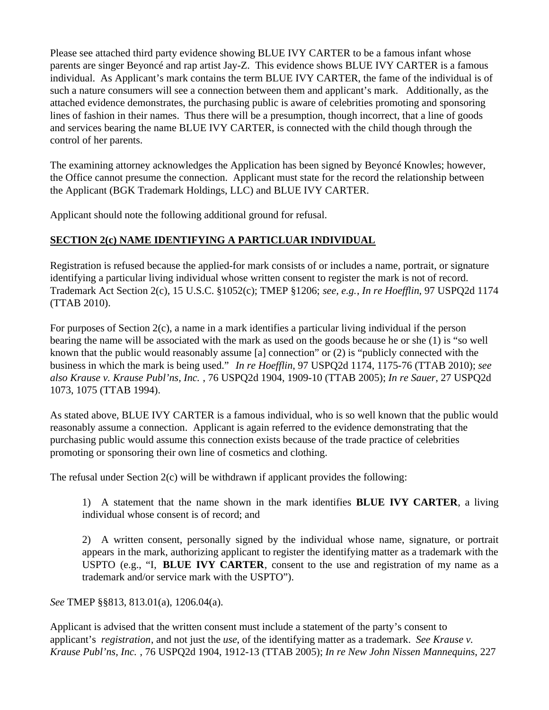Please see attached third party evidence showing BLUE IVY CARTER to be a famous infant whose parents are singer Beyoncé and rap artist Jay-Z. This evidence shows BLUE IVY CARTER is a famous individual. As Applicant's mark contains the term BLUE IVY CARTER, the fame of the individual is of such a nature consumers will see a connection between them and applicant's mark. Additionally, as the attached evidence demonstrates, the purchasing public is aware of celebrities promoting and sponsoring lines of fashion in their names. Thus there will be a presumption, though incorrect, that a line of goods and services bearing the name BLUE IVY CARTER, is connected with the child though through the control of her parents.

The examining attorney acknowledges the Application has been signed by Beyoncé Knowles; however, the Office cannot presume the connection. Applicant must state for the record the relationship between the Applicant (BGK Trademark Holdings, LLC) and BLUE IVY CARTER.

Applicant should note the following additional ground for refusal.

## **SECTION 2(c) NAME IDENTIFYING A PARTICLUAR INDIVIDUAL**

Registration is refused because the applied-for mark consists of or includes a name, portrait, or signature identifying a particular living individual whose written consent to register the mark is not of record. Trademark Act Section 2(c), 15 U.S.C. §1052(c); TMEP §1206; *see, e.g.*, *In re Hoefflin*, 97 USPQ2d 1174 (TTAB 2010).

For purposes of Section 2(c), a name in a mark identifies a particular living individual if the person bearing the name will be associated with the mark as used on the goods because he or she (1) is "so well known that the public would reasonably assume [a] connection" or (2) is "publicly connected with the business in which the mark is being used." *In re Hoefflin*, 97 USPQ2d 1174, 1175-76 (TTAB 2010); *see also Krause v. Krause Publ'ns, Inc.* , 76 USPQ2d 1904, 1909-10 (TTAB 2005); *In re Sauer*, 27 USPQ2d 1073, 1075 (TTAB 1994).

As stated above, BLUE IVY CARTER is a famous individual, who is so well known that the public would reasonably assume a connection. Applicant is again referred to the evidence demonstrating that the purchasing public would assume this connection exists because of the trade practice of celebrities promoting or sponsoring their own line of cosmetics and clothing.

The refusal under Section  $2(c)$  will be withdrawn if applicant provides the following:

1) A statement that the name shown in the mark identifies **BLUE IVY CARTER**, a living individual whose consent is of record; and

2) A written consent, personally signed by the individual whose name, signature, or portrait appears in the mark, authorizing applicant to register the identifying matter as a trademark with the USPTO (e.g., "I, **BLUE IVY CARTER**, consent to the use and registration of my name as a trademark and/or service mark with the USPTO").

*See* TMEP §§813, 813.01(a), 1206.04(a).

Applicant is advised that the written consent must include a statement of the party's consent to applicant's *registration*, and not just the *use*, of the identifying matter as a trademark. *See Krause v. Krause Publ'ns, Inc.* , 76 USPQ2d 1904, 1912-13 (TTAB 2005); *In re New John Nissen Mannequins*, 227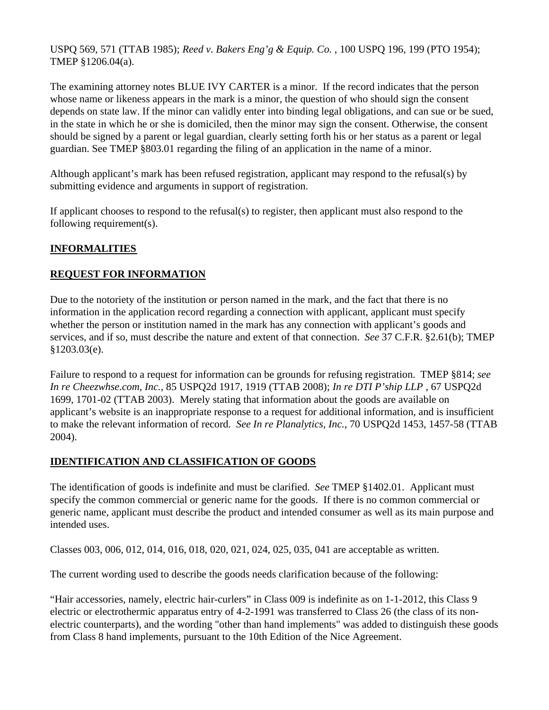USPQ 569, 571 (TTAB 1985); *Reed v. Bakers Eng'g & Equip. Co.* , 100 USPQ 196, 199 (PTO 1954); TMEP §1206.04(a).

The examining attorney notes BLUE IVY CARTER is a minor. If the record indicates that the person whose name or likeness appears in the mark is a minor, the question of who should sign the consent depends on state law. If the minor can validly enter into binding legal obligations, and can sue or be sued, in the state in which he or she is domiciled, then the minor may sign the consent. Otherwise, the consent should be signed by a parent or legal guardian, clearly setting forth his or her status as a parent or legal guardian. See TMEP §803.01 regarding the filing of an application in the name of a minor.

Although applicant's mark has been refused registration, applicant may respond to the refusal(s) by submitting evidence and arguments in support of registration.

If applicant chooses to respond to the refusal(s) to register, then applicant must also respond to the following requirement(s).

## **INFORMALITIES**

## **REQUEST FOR INFORMATION**

Due to the notoriety of the institution or person named in the mark, and the fact that there is no information in the application record regarding a connection with applicant, applicant must specify whether the person or institution named in the mark has any connection with applicant's goods and services, and if so, must describe the nature and extent of that connection. *See* 37 C.F.R. §2.61(b); TMEP §1203.03(e).

Failure to respond to a request for information can be grounds for refusing registration. TMEP §814; *see In re Cheezwhse.com, Inc.*, 85 USPQ2d 1917, 1919 (TTAB 2008); *In re DTI P'ship LLP* , 67 USPQ2d 1699, 1701-02 (TTAB 2003). Merely stating that information about the goods are available on applicant's website is an inappropriate response to a request for additional information, and is insufficient to make the relevant information of record. *See In re Planalytics, Inc.*, 70 USPQ2d 1453, 1457-58 (TTAB 2004).

## **IDENTIFICATION AND CLASSIFICATION OF GOODS**

The identification of goods is indefinite and must be clarified. *See* TMEP §1402.01. Applicant must specify the common commercial or generic name for the goods. If there is no common commercial or generic name, applicant must describe the product and intended consumer as well as its main purpose and intended uses.

Classes 003, 006, 012, 014, 016, 018, 020, 021, 024, 025, 035, 041 are acceptable as written.

The current wording used to describe the goods needs clarification because of the following:

"Hair accessories, namely, electric hair-curlers" in Class 009 is indefinite as on 1-1-2012, this Class 9 electric or electrothermic apparatus entry of 4-2-1991 was transferred to Class 26 (the class of its nonelectric counterparts), and the wording "other than hand implements" was added to distinguish these goods from Class 8 hand implements, pursuant to the 10th Edition of the Nice Agreement.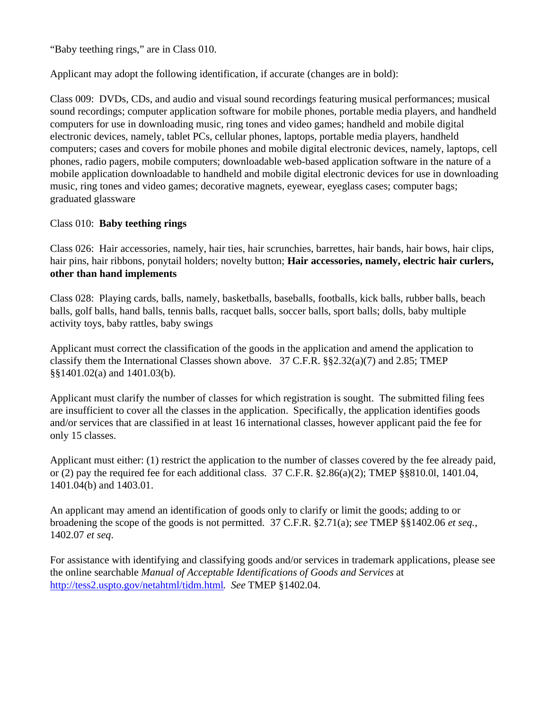"Baby teething rings," are in Class 010.

Applicant may adopt the following identification, if accurate (changes are in bold):

Class 009: DVDs, CDs, and audio and visual sound recordings featuring musical performances; musical sound recordings; computer application software for mobile phones, portable media players, and handheld computers for use in downloading music, ring tones and video games; handheld and mobile digital electronic devices, namely, tablet PCs, cellular phones, laptops, portable media players, handheld computers; cases and covers for mobile phones and mobile digital electronic devices, namely, laptops, cell phones, radio pagers, mobile computers; downloadable web-based application software in the nature of a mobile application downloadable to handheld and mobile digital electronic devices for use in downloading music, ring tones and video games; decorative magnets, eyewear, eyeglass cases; computer bags; graduated glassware

## Class 010: **Baby teething rings**

Class 026: Hair accessories, namely, hair ties, hair scrunchies, barrettes, hair bands, hair bows, hair clips, hair pins, hair ribbons, ponytail holders; novelty button; **Hair accessories, namely, electric hair curlers, other than hand implements**

Class 028: Playing cards, balls, namely, basketballs, baseballs, footballs, kick balls, rubber balls, beach balls, golf balls, hand balls, tennis balls, racquet balls, soccer balls, sport balls; dolls, baby multiple activity toys, baby rattles, baby swings

Applicant must correct the classification of the goods in the application and amend the application to classify them the International Classes shown above. 37 C.F.R. §§2.32(a)(7) and 2.85; TMEP §§1401.02(a) and 1401.03(b).

Applicant must clarify the number of classes for which registration is sought. The submitted filing fees are insufficient to cover all the classes in the application. Specifically, the application identifies goods and/or services that are classified in at least 16 international classes, however applicant paid the fee for only 15 classes.

Applicant must either: (1) restrict the application to the number of classes covered by the fee already paid, or (2) pay the required fee for each additional class. 37 C.F.R. §2.86(a)(2); TMEP §§810.0l, 1401.04, 1401.04(b) and 1403.01.

An applicant may amend an identification of goods only to clarify or limit the goods; adding to or broadening the scope of the goods is not permitted. 37 C.F.R. §2.71(a); *see* TMEP §§1402.06 *et seq.*, 1402.07 *et seq*.

For assistance with identifying and classifying goods and/or services in trademark applications, please see the online searchable *Manual of Acceptable Identifications of Goods and Services* at http://tess2.uspto.gov/netahtml/tidm.html. *See* TMEP §1402.04.